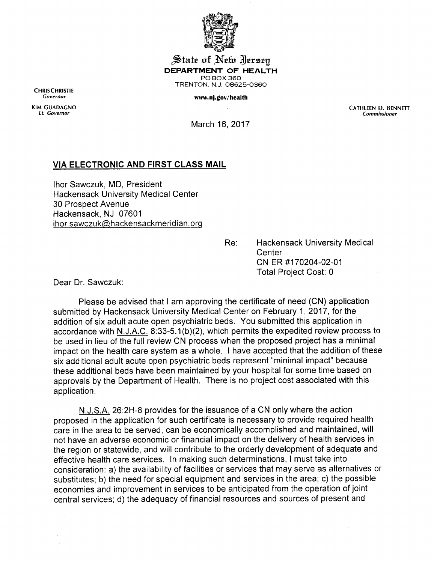

J^iate of **^eixx** ^Isrseg *DEPARTMENT OF HEALTH* POBOX360 TRENTON, N.J. 08625-0360

## **Governor** *WWW.nj.gov/health*

CHRISCHRISTIE<br>Governor

KIM GUADACNO CATHLEEN D. BENNETT If. **Governor Commissioner**

March 16,2017

## *VIA ELECTRONIC AND FIRST CLASS MAIL*

Ihor Sawczuk, MD, President Hackensack University Medical Center 30 Prospect Avenue Hackensack, NJ 07601 ihor.sawczuk@hackensackmeridian.org

> Re: Hackensack University Medical **Center** CN ER #170204-02-01 Total Project Cost: 0

Dear Dr. Sawczuk:

Please be advised that I am approving the certificate of need (CN) application submitted by Hackensack University Medical Center on February 1, 2017, for the addition of six adult acute open psychiatric beds. You submitted this application in accordance with N.J.A.C. 8:33-5.1(b)(2), which permits the expedited review process to be used in lieu of the full review CN process when the proposed project has a minimal impact on the health care system as a whole. I have accepted that the addition of these six additional adult acute open psychiatric beds represent "minimal impact" because these additional beds have been maintained by your hospital for some time based on approvals by the Department of Health. There is no project cost associated with this application.

N.J.S.A. 26:2H-8 provides for the issuance of a CN only where the action proposed in the application for such certificate is necessary to provide required health care in the area to be served, can be economically accomplished and maintained, will not have an adverse economic or financial impact on the delivery of health services in the region or statewide, and will contribute to the orderly development of adequate and effective health care services. In making such determinations, I must take into consideration: a) the availability of facilities or services that may serve as alternatives or substitutes; b) the need for special equipment and services in the area; c) the possible economies and improvement in services to be anticipated from the operation of joint central services; d) the adequacy of financial resources and sources of present and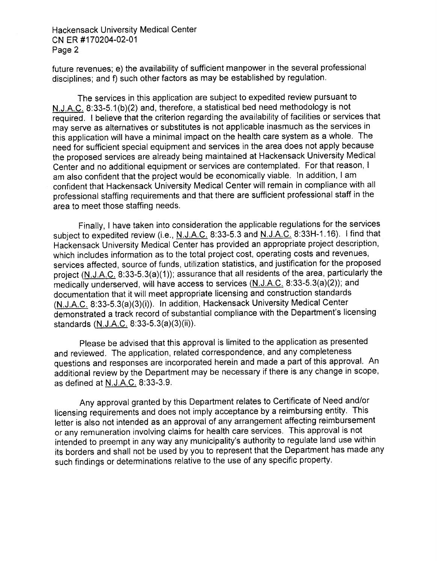Hackensack University Medical Center CNER #170204-02-01 Page 2

future revenues; e) the availability of sufficient manpower in the several professional disciplines; and f) such other factors as may be established by regulation.

The services in this application are subject to expedited review pursuant to N.J.A.C. 8:33-5.1 (b)(2) and, therefore, a statistical bed need methodology is not required. I believe that the criterion regarding the availability of facilities or services that may serve as alternatives or substitutes is not applicable inasmuch as the services in this application will have a minimal impact on the health care system as a whole. The need for sufficient special equipment and services in the area does not apply because the proposed services are already being maintained at Hackensack University Medical Center and no additional equipment or services are contemplated. For that reason, I am also confident that the project would be economically viable. In addition, I am confident that Hackensack University Medical Center will remain in compliance with all professional staffing requirements and that there are sufficient professional staff in the area to meet those staffing needs.

Finally, Ihave taken into consideration the applicable regulations for the services subject to expedited review (i.e., N.J.A.C. 8:33-5.3 and N.J.A.C. 8:33H-1.16). I find that Hackensack University Medical Center has provided an appropriate project description, which includes information as to the total project cost, operating costs and revenues, services affected, source of funds, utilization statistics, and justification for the proposed project (N.J.A.C. 8:33-5.3(a)(1)); assurance that all residents of the area, particularly the medically underserved, will have access to services (N.J.A.C. 8:33-5.3(a)(2)); and documentation that itwill meet appropriate licensing and construction standards (N.J.A.C. 8:33-5.3(a)(3)(i)). In addition, Hackensack University Medical Center demonstrated a track record of substantial compliance with the Department's licensing standards (N.J.A.C. 8:33-5.3(a)(3)(ii)).

Please be advised that this approval is limited to the application as presented and reviewed. The application, related correspondence, and any completeness questions and responses are incorporated herein and made a part of this approval. An additional review by the Department may be necessary if there is any change in scope, as defined at N.J.A.C. 8:33-3.9.

Any approval granted by this Department relates to Certificate of Need and/or licensing requirements and does not imply acceptance by a reimbursing entity. This letter is also not intended as an approval of any arrangement affecting reimbursement or any remuneration involving claims for health care services. This approval is not intended to preempt in any way any municipality's authority to regulate land use within its borders and shall not be used by you to represent that the Department has made any such findings or determinations relative to the use of any specific property.